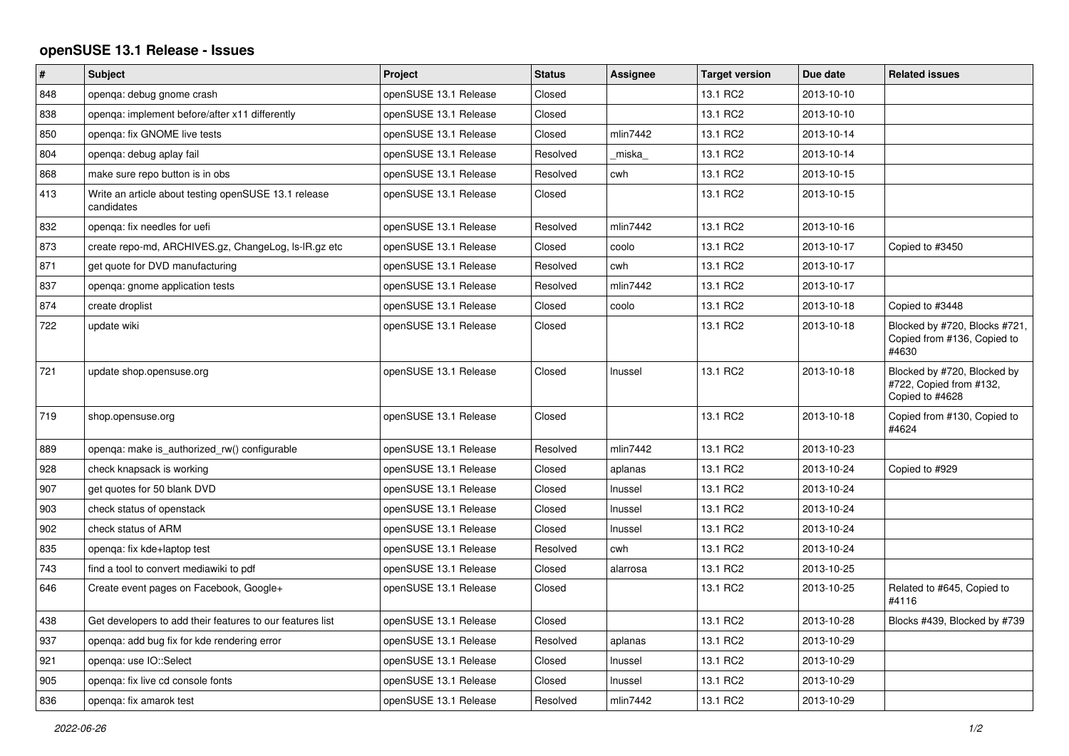## **openSUSE 13.1 Release - Issues**

| $\vert$ # | <b>Subject</b>                                                     | Project               | <b>Status</b> | Assignee | <b>Target version</b> | Due date   | <b>Related issues</b>                                                     |
|-----------|--------------------------------------------------------------------|-----------------------|---------------|----------|-----------------------|------------|---------------------------------------------------------------------------|
| 848       | openga: debug gnome crash                                          | openSUSE 13.1 Release | Closed        |          | 13.1 RC2              | 2013-10-10 |                                                                           |
| 838       | openga: implement before/after x11 differently                     | openSUSE 13.1 Release | Closed        |          | 13.1 RC2              | 2013-10-10 |                                                                           |
| 850       | openga: fix GNOME live tests                                       | openSUSE 13.1 Release | Closed        | mlin7442 | 13.1 RC2              | 2013-10-14 |                                                                           |
| 804       | openqa: debug aplay fail                                           | openSUSE 13.1 Release | Resolved      | miska    | 13.1 RC2              | 2013-10-14 |                                                                           |
| 868       | make sure repo button is in obs                                    | openSUSE 13.1 Release | Resolved      | cwh      | 13.1 RC2              | 2013-10-15 |                                                                           |
| 413       | Write an article about testing openSUSE 13.1 release<br>candidates | openSUSE 13.1 Release | Closed        |          | 13.1 RC2              | 2013-10-15 |                                                                           |
| 832       | openga: fix needles for uefi                                       | openSUSE 13.1 Release | Resolved      | mlin7442 | 13.1 RC2              | 2013-10-16 |                                                                           |
| 873       | create repo-md, ARCHIVES.gz, ChangeLog, Is-IR.gz etc               | openSUSE 13.1 Release | Closed        | coolo    | 13.1 RC2              | 2013-10-17 | Copied to #3450                                                           |
| 871       | get quote for DVD manufacturing                                    | openSUSE 13.1 Release | Resolved      | cwh      | 13.1 RC2              | 2013-10-17 |                                                                           |
| 837       | openga: gnome application tests                                    | openSUSE 13.1 Release | Resolved      | mlin7442 | 13.1 RC2              | 2013-10-17 |                                                                           |
| 874       | create droplist                                                    | openSUSE 13.1 Release | Closed        | coolo    | 13.1 RC2              | 2013-10-18 | Copied to #3448                                                           |
| 722       | update wiki                                                        | openSUSE 13.1 Release | Closed        |          | 13.1 RC2              | 2013-10-18 | Blocked by #720, Blocks #721,<br>Copied from #136, Copied to<br>#4630     |
| 721       | update shop.opensuse.org                                           | openSUSE 13.1 Release | Closed        | Inussel  | 13.1 RC2              | 2013-10-18 | Blocked by #720, Blocked by<br>#722, Copied from #132,<br>Copied to #4628 |
| 719       | shop.opensuse.org                                                  | openSUSE 13.1 Release | Closed        |          | 13.1 RC2              | 2013-10-18 | Copied from #130, Copied to<br>#4624                                      |
| 889       | openga: make is authorized rw() configurable                       | openSUSE 13.1 Release | Resolved      | mlin7442 | 13.1 RC2              | 2013-10-23 |                                                                           |
| 928       | check knapsack is working                                          | openSUSE 13.1 Release | Closed        | aplanas  | 13.1 RC2              | 2013-10-24 | Copied to #929                                                            |
| 907       | get quotes for 50 blank DVD                                        | openSUSE 13.1 Release | Closed        | Inussel  | 13.1 RC2              | 2013-10-24 |                                                                           |
| 903       | check status of openstack                                          | openSUSE 13.1 Release | Closed        | Inussel  | 13.1 RC2              | 2013-10-24 |                                                                           |
| 902       | check status of ARM                                                | openSUSE 13.1 Release | Closed        | Inussel  | 13.1 RC2              | 2013-10-24 |                                                                           |
| 835       | openga: fix kde+laptop test                                        | openSUSE 13.1 Release | Resolved      | cwh      | 13.1 RC2              | 2013-10-24 |                                                                           |
| 743       | find a tool to convert mediawiki to pdf                            | openSUSE 13.1 Release | Closed        | alarrosa | 13.1 RC2              | 2013-10-25 |                                                                           |
| 646       | Create event pages on Facebook, Google+                            | openSUSE 13.1 Release | Closed        |          | 13.1 RC2              | 2013-10-25 | Related to #645, Copied to<br>#4116                                       |
| 438       | Get developers to add their features to our features list          | openSUSE 13.1 Release | Closed        |          | 13.1 RC2              | 2013-10-28 | Blocks #439, Blocked by #739                                              |
| 937       | openga: add bug fix for kde rendering error                        | openSUSE 13.1 Release | Resolved      | aplanas  | 13.1 RC2              | 2013-10-29 |                                                                           |
| 921       | openqa: use IO::Select                                             | openSUSE 13.1 Release | Closed        | Inussel  | 13.1 RC2              | 2013-10-29 |                                                                           |
| 905       | openga: fix live cd console fonts                                  | openSUSE 13.1 Release | Closed        | Inussel  | 13.1 RC2              | 2013-10-29 |                                                                           |
| 836       | openga: fix amarok test                                            | openSUSE 13.1 Release | Resolved      | mlin7442 | 13.1 RC2              | 2013-10-29 |                                                                           |